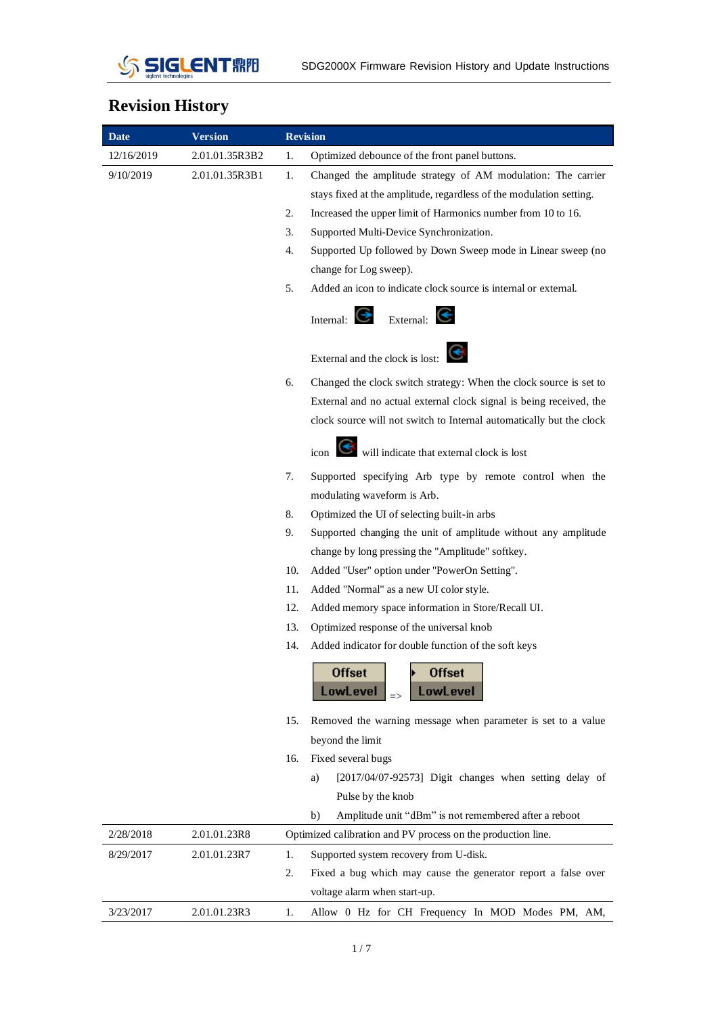

## **Revision History**

| <b>Date</b> | <b>Version</b> | <b>Revision</b>                                                          |  |  |  |
|-------------|----------------|--------------------------------------------------------------------------|--|--|--|
| 12/16/2019  | 2.01.01.35R3B2 | Optimized debounce of the front panel buttons.<br>1.                     |  |  |  |
| 9/10/2019   | 2.01.01.35R3B1 | 1.<br>Changed the amplitude strategy of AM modulation: The carrier       |  |  |  |
|             |                | stays fixed at the amplitude, regardless of the modulation setting.      |  |  |  |
|             |                | 2.<br>Increased the upper limit of Harmonics number from 10 to 16.       |  |  |  |
|             |                | 3.<br>Supported Multi-Device Synchronization.                            |  |  |  |
|             |                | 4.<br>Supported Up followed by Down Sweep mode in Linear sweep (no       |  |  |  |
|             |                | change for Log sweep).                                                   |  |  |  |
|             |                | 5.<br>Added an icon to indicate clock source is internal or external.    |  |  |  |
|             |                | Internal:<br>External:                                                   |  |  |  |
|             |                | External and the clock is lost: $\bigodot$                               |  |  |  |
|             |                | Changed the clock switch strategy: When the clock source is set to<br>6. |  |  |  |
|             |                | External and no actual external clock signal is being received, the      |  |  |  |
|             |                | clock source will not switch to Internal automatically but the clock     |  |  |  |
|             |                | $\epsilon$ will indicate that external clock is lost                     |  |  |  |
|             |                | 7.<br>Supported specifying Arb type by remote control when the           |  |  |  |
|             |                | modulating waveform is Arb.                                              |  |  |  |
|             |                | 8.<br>Optimized the UI of selecting built-in arbs                        |  |  |  |
|             |                | 9.<br>Supported changing the unit of amplitude without any amplitude     |  |  |  |
|             |                | change by long pressing the "Amplitude" softkey.                         |  |  |  |
|             |                | 10.<br>Added "User" option under "PowerOn Setting".                      |  |  |  |
|             |                | Added "Normal" as a new UI color style.<br>11.                           |  |  |  |
|             |                | 12.<br>Added memory space information in Store/Recall UI.                |  |  |  |
|             |                | 13.<br>Optimized response of the universal knob                          |  |  |  |
|             |                | Added indicator for double function of the soft keys<br>14.              |  |  |  |
|             |                | <b>Offset</b><br>Offset<br>LowLevel<br>LowLevel                          |  |  |  |
|             |                | Removed the warning message when parameter is set to a value<br>15.      |  |  |  |
|             |                | beyond the limit                                                         |  |  |  |
|             |                | Fixed several bugs<br>16.                                                |  |  |  |
|             |                | [2017/04/07-92573] Digit changes when setting delay of<br>a)             |  |  |  |
|             |                | Pulse by the knob                                                        |  |  |  |
|             |                | Amplitude unit "dBm" is not remembered after a reboot<br>b)              |  |  |  |
| 2/28/2018   | 2.01.01.23R8   | Optimized calibration and PV process on the production line.             |  |  |  |
| 8/29/2017   | 2.01.01.23R7   | 1.<br>Supported system recovery from U-disk.                             |  |  |  |
|             |                | 2.<br>Fixed a bug which may cause the generator report a false over      |  |  |  |
|             |                | voltage alarm when start-up.                                             |  |  |  |
| 3/23/2017   | 2.01.01.23R3   | Allow 0 Hz for CH Frequency In MOD Modes PM, AM,<br>1.                   |  |  |  |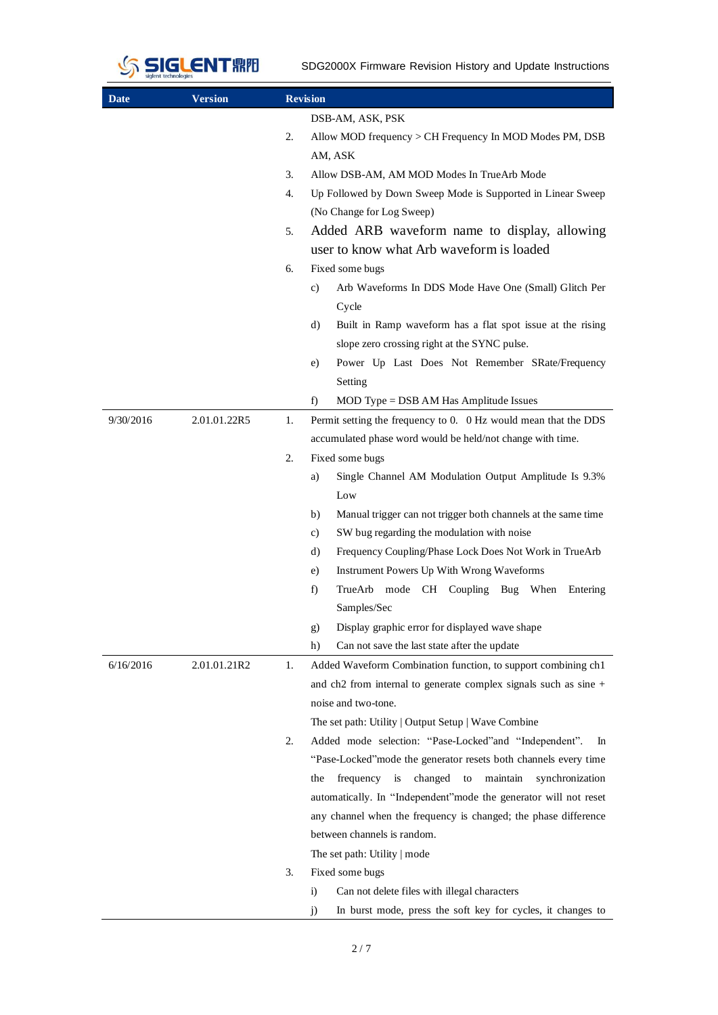

SDG2000X Firmware Revision History and Update Instructions

| Date      | <b>Version</b> | <b>Revision</b>                                                                                |  |  |
|-----------|----------------|------------------------------------------------------------------------------------------------|--|--|
|           |                | DSB-AM, ASK, PSK                                                                               |  |  |
|           |                | 2.<br>Allow MOD frequency $>$ CH Frequency In MOD Modes PM, DSB<br>AM, ASK                     |  |  |
|           |                | 3.<br>Allow DSB-AM, AM MOD Modes In TrueArb Mode                                               |  |  |
|           |                | 4.                                                                                             |  |  |
|           |                | Up Followed by Down Sweep Mode is Supported in Linear Sweep                                    |  |  |
|           |                | (No Change for Log Sweep)                                                                      |  |  |
|           |                | Added ARB waveform name to display, allowing<br>5.<br>user to know what Arb waveform is loaded |  |  |
|           |                | Fixed some bugs<br>6.                                                                          |  |  |
|           |                | Arb Waveforms In DDS Mode Have One (Small) Glitch Per<br>c)                                    |  |  |
|           |                | Cycle                                                                                          |  |  |
|           |                | Built in Ramp waveform has a flat spot issue at the rising<br>d)                               |  |  |
|           |                | slope zero crossing right at the SYNC pulse.                                                   |  |  |
|           |                | Power Up Last Does Not Remember SRate/Frequency<br>e)<br>Setting                               |  |  |
|           |                | f)<br>MOD Type = DSB AM Has Amplitude Issues                                                   |  |  |
| 9/30/2016 |                | Permit setting the frequency to 0. 0 Hz would mean that the DDS                                |  |  |
|           | 2.01.01.22R5   | 1.                                                                                             |  |  |
|           |                | accumulated phase word would be held/not change with time.                                     |  |  |
|           |                | 2.<br>Fixed some bugs                                                                          |  |  |
|           |                | Single Channel AM Modulation Output Amplitude Is 9.3%<br>a)<br>Low                             |  |  |
|           |                | Manual trigger can not trigger both channels at the same time<br>b)                            |  |  |
|           |                | SW bug regarding the modulation with noise<br>c)                                               |  |  |
|           |                | Frequency Coupling/Phase Lock Does Not Work in TrueArb<br>d)                                   |  |  |
|           |                | Instrument Powers Up With Wrong Waveforms<br>e)                                                |  |  |
|           |                | TrueArb mode CH Coupling<br>Bug<br>When<br>f)<br>Entering                                      |  |  |
|           |                | Samples/Sec                                                                                    |  |  |
|           |                | Display graphic error for displayed wave shape<br>$\mathbf{g}$                                 |  |  |
|           |                | h)<br>Can not save the last state after the update                                             |  |  |
| 6/16/2016 | 2.01.01.21R2   | 1.<br>Added Waveform Combination function, to support combining ch1                            |  |  |
|           |                | and ch2 from internal to generate complex signals such as sine $+$                             |  |  |
|           |                | noise and two-tone.                                                                            |  |  |
|           |                | The set path: Utility   Output Setup   Wave Combine                                            |  |  |
|           |                | Added mode selection: "Pase-Locked"and "Independent".<br>2.<br><i>In</i>                       |  |  |
|           |                | "Pase-Locked" mode the generator resets both channels every time                               |  |  |
|           |                | frequency is<br>changed<br>to<br>maintain<br>synchronization<br>the                            |  |  |
|           |                | automatically. In "Independent" mode the generator will not reset                              |  |  |
|           |                | any channel when the frequency is changed; the phase difference                                |  |  |
|           |                | between channels is random.                                                                    |  |  |
|           |                | The set path: Utility   mode                                                                   |  |  |
|           |                | Fixed some bugs<br>3.                                                                          |  |  |
|           |                | Can not delete files with illegal characters<br>$\ddot{1}$                                     |  |  |
|           |                | In burst mode, press the soft key for cycles, it changes to<br>$\ddot{1}$                      |  |  |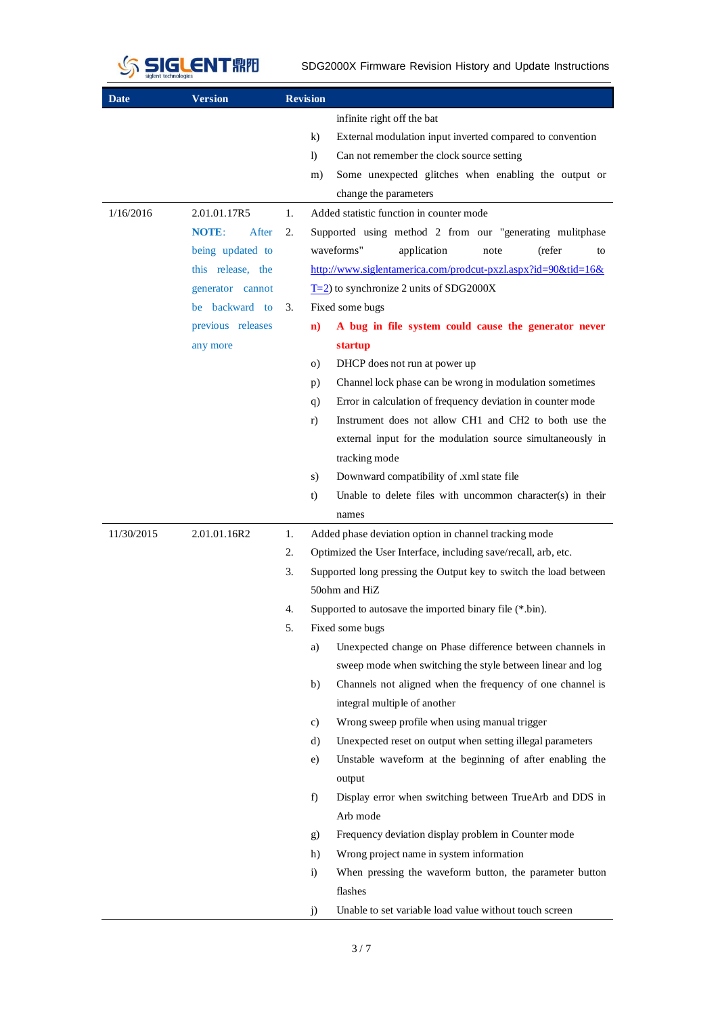

SDG2000X Firmware Revision History and Update Instructions

| Date       | <b>Version</b>        |    | <b>Revision</b>                                                       |
|------------|-----------------------|----|-----------------------------------------------------------------------|
|            |                       |    | infinite right off the bat                                            |
|            |                       |    | External modulation input inverted compared to convention<br>$\bf k$  |
|            |                       |    | Can not remember the clock source setting<br>$\mathbf{D}$             |
|            |                       |    | Some unexpected glitches when enabling the output or<br>m)            |
|            |                       |    | change the parameters                                                 |
| 1/16/2016  | 2.01.01.17R5          | 1. | Added statistic function in counter mode                              |
|            | <b>NOTE:</b><br>After | 2. | Supported using method 2 from our "generating mulitphase              |
|            | being updated to      |    | waveforms"<br>application<br>(refer<br>note<br>to                     |
|            | this release, the     |    | http://www.siglentamerica.com/prodcut-pxzl.aspx?id=90&tid=16&         |
|            | generator cannot      |    | $T=2$ ) to synchronize 2 units of SDG2000X                            |
|            | be backward to        | 3. | Fixed some bugs                                                       |
|            | previous releases     |    | A bug in file system could cause the generator never<br>$\mathbf{n}$  |
|            | any more              |    | startup                                                               |
|            |                       |    | DHCP does not run at power up<br>$\circ$ )                            |
|            |                       |    | Channel lock phase can be wrong in modulation sometimes<br>p)         |
|            |                       |    | Error in calculation of frequency deviation in counter mode<br>q)     |
|            |                       |    | Instrument does not allow CH1 and CH2 to both use the<br>r)           |
|            |                       |    | external input for the modulation source simultaneously in            |
|            |                       |    | tracking mode                                                         |
|            |                       |    | Downward compatibility of .xml state file<br>s)                       |
|            |                       |    | Unable to delete files with uncommon character(s) in their<br>t)      |
|            |                       |    | names                                                                 |
| 11/30/2015 | 2.01.01.16R2          | 1. | Added phase deviation option in channel tracking mode                 |
|            |                       | 2. | Optimized the User Interface, including save/recall, arb, etc.        |
|            |                       | 3. | Supported long pressing the Output key to switch the load between     |
|            |                       |    | 50ohm and HiZ                                                         |
|            |                       | 4. | Supported to autosave the imported binary file (*.bin).               |
|            |                       | 5. | Fixed some bugs                                                       |
|            |                       |    | Unexpected change on Phase difference between channels in<br>a)       |
|            |                       |    | sweep mode when switching the style between linear and log            |
|            |                       |    | b)<br>Channels not aligned when the frequency of one channel is       |
|            |                       |    | integral multiple of another                                          |
|            |                       |    | Wrong sweep profile when using manual trigger<br>c)                   |
|            |                       |    | Unexpected reset on output when setting illegal parameters<br>d)      |
|            |                       |    | Unstable waveform at the beginning of after enabling the<br>e)        |
|            |                       |    | output                                                                |
|            |                       |    | f)<br>Display error when switching between TrueArb and DDS in         |
|            |                       |    | Arb mode                                                              |
|            |                       |    | Frequency deviation display problem in Counter mode<br>g)             |
|            |                       |    | Wrong project name in system information<br>h)                        |
|            |                       |    | When pressing the waveform button, the parameter button<br>$\ddot{1}$ |
|            |                       |    | flashes                                                               |
|            |                       |    | Unable to set variable load value without touch screen<br>j)          |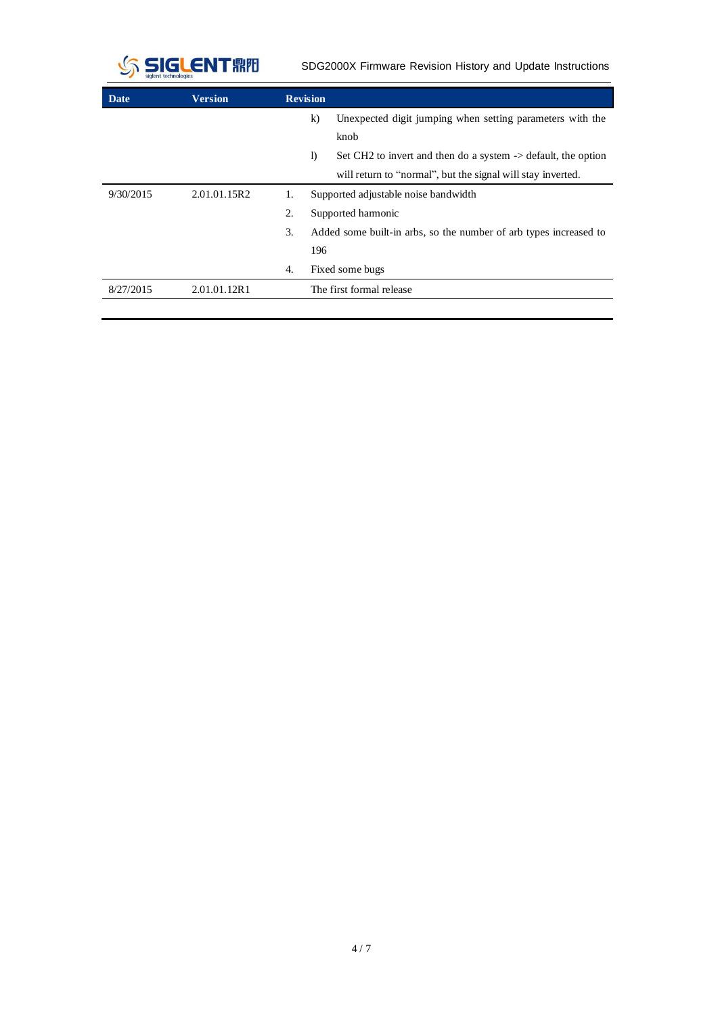

SDG2000X Firmware Revision History and Update Instructions

| Date      | <b>Version</b> | <b>Revision</b> |                                                                          |  |  |
|-----------|----------------|-----------------|--------------------------------------------------------------------------|--|--|
|           |                | $\bf k$         | Unexpected digit jumping when setting parameters with the                |  |  |
|           |                |                 | knob                                                                     |  |  |
|           |                | $\mathbf{D}$    | Set CH2 to invert and then do a system $\rightarrow$ default, the option |  |  |
|           |                |                 | will return to "normal", but the signal will stay inverted.              |  |  |
| 9/30/2015 | 2.01.01.15R2   | 1.              | Supported adjustable noise bandwidth                                     |  |  |
|           |                | 2.              | Supported harmonic                                                       |  |  |
|           |                | 3.              | Added some built-in arbs, so the number of arb types increased to        |  |  |
|           |                | 196             |                                                                          |  |  |
|           |                | 4.              | Fixed some bugs                                                          |  |  |
| 8/27/2015 | 2.01.01.12R1   |                 | The first formal release                                                 |  |  |
|           |                |                 |                                                                          |  |  |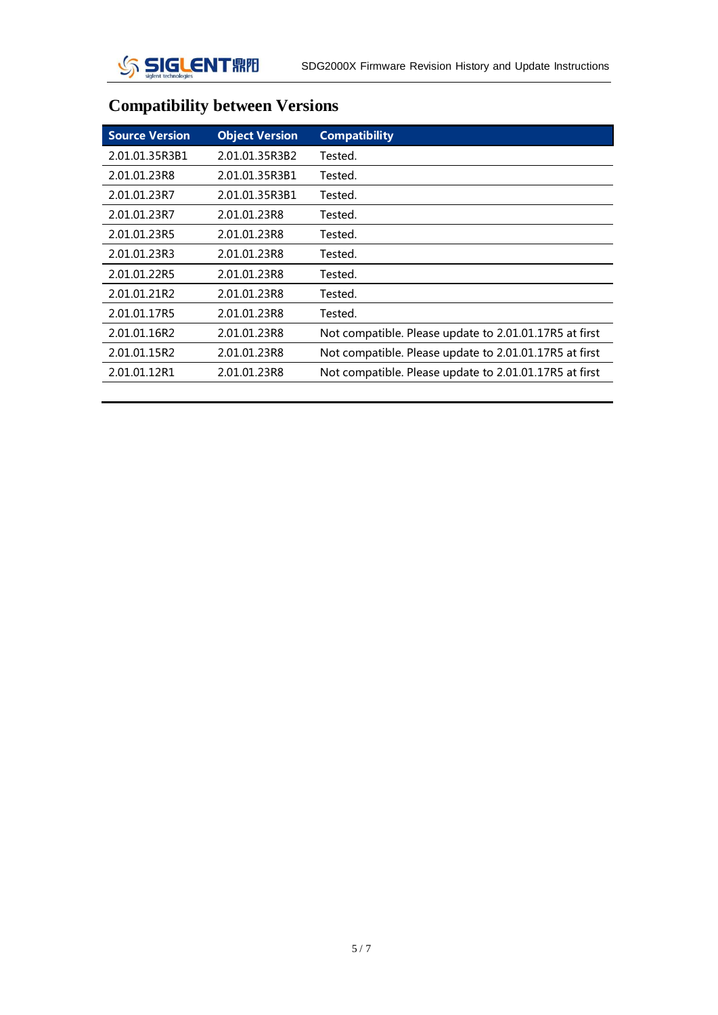

## **Compatibility between Versions**

| <b>Object Version</b> | <b>Compatibility</b>                                   |
|-----------------------|--------------------------------------------------------|
| 2.01.01.35R3B2        | Tested.                                                |
| 2.01.01.35R3B1        | Tested.                                                |
| 2.01.01.35R3B1        | Tested.                                                |
| 2.01.01.23R8          | Tested.                                                |
| 2.01.01.23R8          | Tested.                                                |
| 2.01.01.23R8          | Tested.                                                |
| 2.01.01.23R8          | Tested.                                                |
| 2.01.01.23R8          | Tested.                                                |
| 2.01.01.23R8          | Tested.                                                |
| 2.01.01.23R8          | Not compatible. Please update to 2.01.01.17R5 at first |
| 2.01.01.23R8          | Not compatible. Please update to 2.01.01.17R5 at first |
| 2.01.01.23R8          | Not compatible. Please update to 2.01.01.17R5 at first |
|                       |                                                        |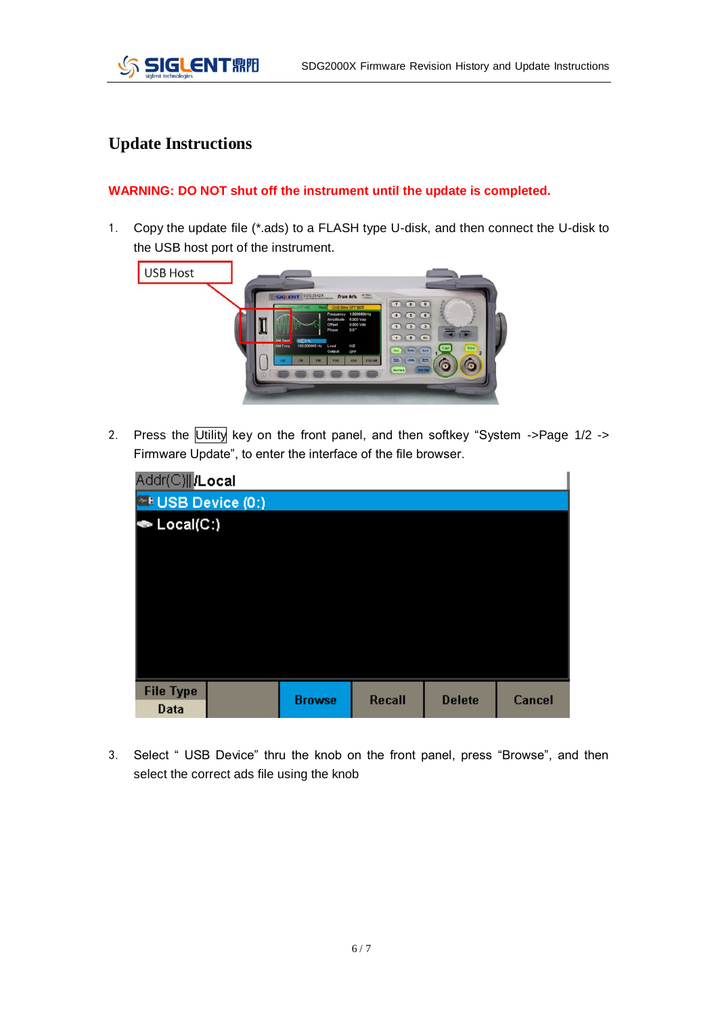

## **Update Instructions**

## **WARNING: DO NOT shut off the instrument until the update is completed.**

1. Copy the update file (\*.ads) to a FLASH type U-disk, and then connect the U-disk to the USB host port of the instrument.



2. Press the Utility key on the front panel, and then softkey "System ->Page 1/2 -> Firmware Update", to enter the interface of the file browser.

| <b>Browse</b> |        | Cancel        |
|---------------|--------|---------------|
|               | Recall | <b>Delete</b> |

3. Select " USB Device" thru the knob on the front panel, press "Browse", and then select the correct ads file using the knob